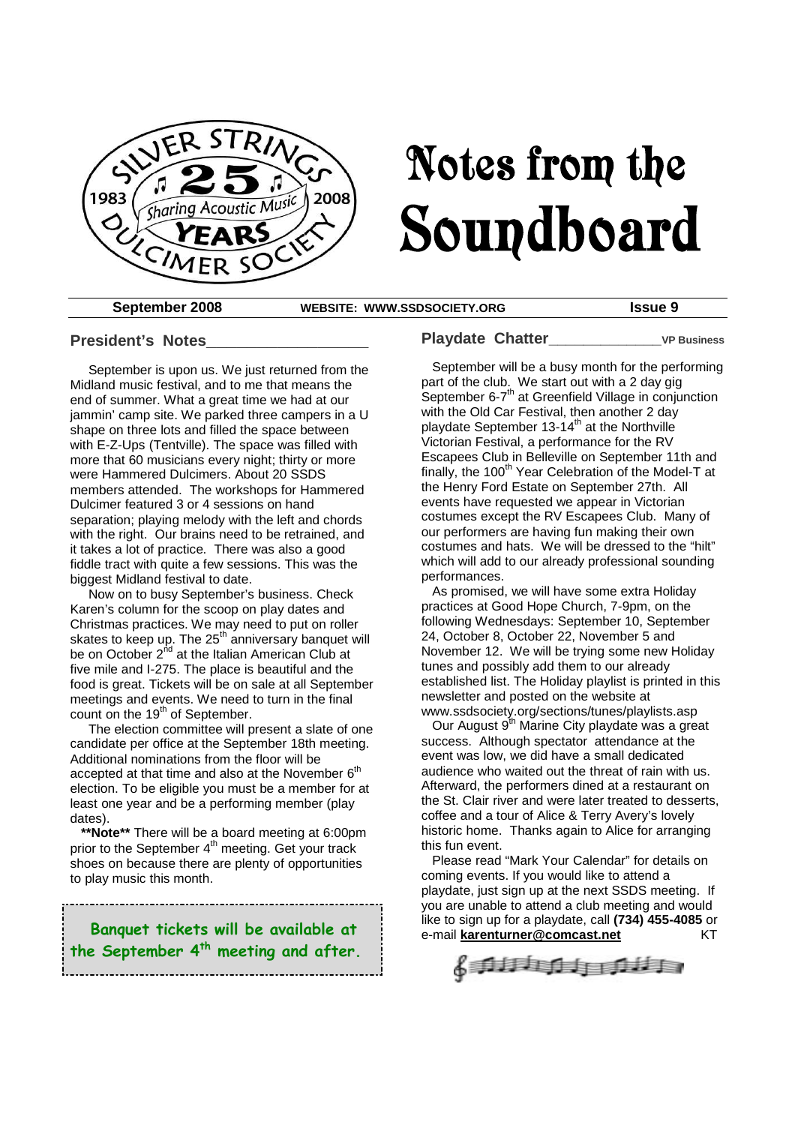

# Notes from the Soundboard

**September 2008 WEBSITE: WWW.SSDSOCIETY.ORG Issue 9**

#### **President's Notes\_\_\_\_\_\_\_\_\_\_\_\_\_\_\_\_**

September is upon us. We just returned from the Midland music festival, and to me that means the end of summer. What a great time we had at our jammin' camp site. We parked three campers in a U shape on three lots and filled the space between with E-Z-Ups (Tentville). The space was filled with more that 60 musicians every night; thirty or more were Hammered Dulcimers. About 20 SSDS members attended. The workshops for Hammered Dulcimer featured 3 or 4 sessions on hand separation; playing melody with the left and chords with the right. Our brains need to be retrained, and it takes a lot of practice. There was also a good fiddle tract with quite a few sessions. This was the biggest Midland festival to date.

Now on to busy September's business. Check Karen's column for the scoop on play dates and Christmas practices. We may need to put on roller skates to keep up. The 25<sup>th</sup> anniversary banquet will be on October 2<sup>nd</sup> at the Italian American Club at five mile and I-275. The place is beautiful and the food is great. Tickets will be on sale at all September meetings and events. We need to turn in the final count on the  $19<sup>th</sup>$  of September.

The election committee will present a slate of one candidate per office at the September 18th meeting. Additional nominations from the floor will be accepted at that time and also at the November  $6<sup>th</sup>$ election. To be eligible you must be a member for at least one year and be a performing member (play dates).

**\*\*Note\*\*** There will be a board meeting at 6:00pm prior to the September 4<sup>th</sup> meeting. Get your track shoes on because there are plenty of opportunities to play music this month.

**Banquet tickets will be available at the September 4th meeting and after.** **Playdate Chatter\_\_\_\_\_\_\_\_\_\_\_\_\_VP Business**

September will be a busy month for the performing part of the club. We start out with a 2 day gig .<br>September 6-7<sup>th</sup> at Greenfield Village in conjunction with the Old Car Festival, then another 2 day playdate September 13-14<sup>th</sup> at the Northville Victorian Festival, a performance for the RV Escapees Club in Belleville on September 11th and finally, the 100<sup>th</sup> Year Celebration of the Model-T at the Henry Ford Estate on September 27th. All events have requested we appear in Victorian costumes except the RV Escapees Club. Many of our performers are having fun making their own costumes and hats. We will be dressed to the "hilt" which will add to our already professional sounding performances.

As promised, we will have some extra Holiday practices at Good Hope Church, 7-9pm, on the following Wednesdays: September 10, September 24, October 8, October 22, November 5 and November 12. We will be trying some new Holiday tunes and possibly add them to our already established list. The Holiday playlist is printed in this newsletter and posted on the website at www.ssdsociety.org/sections/tunes/playlists.asp

Our August 9<sup>th</sup> Marine City playdate was a great success. Although spectator attendance at the event was low, we did have a small dedicated audience who waited out the threat of rain with us. Afterward, the performers dined at a restaurant on the St. Clair river and were later treated to desserts, coffee and a tour of Alice & Terry Avery's lovely historic home. Thanks again to Alice for arranging this fun event.

Please read "Mark Your Calendar" for details on coming events. If you would like to attend a playdate, just sign up at the next SSDS meeting. If you are unable to attend a club meeting and would like to sign up for a playdate, call **(734) 455-4085** or e-mail **karenturner@comcast.net** KT

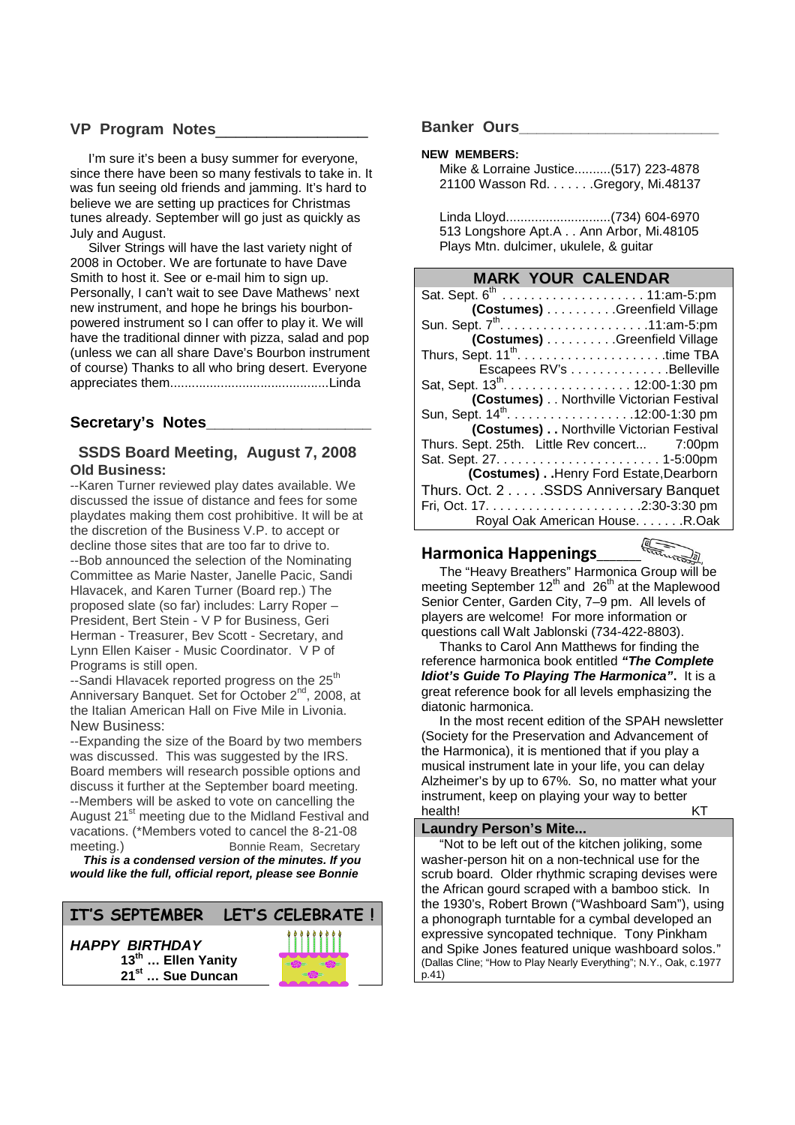#### **VP Program Notes**\_\_\_\_\_\_\_\_\_\_\_\_\_\_\_

I'm sure it's been a busy summer for everyone, since there have been so many festivals to take in. It was fun seeing old friends and jamming. It's hard to believe we are setting up practices for Christmas tunes already. September will go just as quickly as July and August.

Silver Strings will have the last variety night of 2008 in October. We are fortunate to have Dave Smith to host it. See or e-mail him to sign up. Personally, I can't wait to see Dave Mathews' next new instrument, and hope he brings his bourbonpowered instrument so I can offer to play it. We will have the traditional dinner with pizza, salad and pop (unless we can all share Dave's Bourbon instrument of course) Thanks to all who bring desert. Everyone appreciates them............................................Linda

#### **Secretary's Notes\_\_\_\_\_\_\_\_\_\_\_\_\_\_\_\_\_\_\_**

#### **SSDS Board Meeting, August 7, 2008 Old Business:**

--Karen Turner reviewed play dates available. We discussed the issue of distance and fees for some playdates making them cost prohibitive. It will be at the discretion of the Business V.P. to accept or decline those sites that are too far to drive to. --Bob announced the selection of the Nominating Committee as Marie Naster, Janelle Pacic, Sandi Hlavacek, and Karen Turner (Board rep.) The proposed slate (so far) includes: Larry Roper – President, Bert Stein - V P for Business, Geri Herman - Treasurer, Bev Scott - Secretary, and Lynn Ellen Kaiser - Music Coordinator. V P of Programs is still open.

--Sandi Hlavacek reported progress on the 25<sup>th</sup> Anniversary Banquet. Set for October 2<sup>nd</sup>, 2008, at the Italian American Hall on Five Mile in Livonia. New Business:

--Expanding the size of the Board by two members was discussed. This was suggested by the IRS. Board members will research possible options and discuss it further at the September board meeting. --Members will be asked to vote on cancelling the August 21<sup>st</sup> meeting due to the Midland Festival and vacations. (\*Members voted to cancel the 8-21-08 meeting.) Bonnie Ream, Secretary

*This is a condensed version of the minutes. If you would like the full, official report, please see Bonnie*



#### **Banker Ours\_\_\_\_\_\_\_\_\_\_\_\_\_\_\_\_\_\_\_\_\_\_\_**

#### **NEW MEMBERS:**

Mike & Lorraine Justice..........(517) 223-4878 21100 Wasson Rd. . . . . . .Gregory, Mi.48137

Linda Lloyd.............................(734) 604-6970 513 Longshore Apt.A . . Ann Arbor, Mi.48105 Plays Mtn. dulcimer, ukulele, & guitar

#### **MARK YOUR CALENDAR**

| Sat. Sept. 6 <sup>th</sup> 11:am-5:pm        |                                          |  |
|----------------------------------------------|------------------------------------------|--|
|                                              | (Costumes) Greenfield Village            |  |
|                                              |                                          |  |
|                                              | (Costumes) Greenfield Village            |  |
|                                              |                                          |  |
|                                              | Escapees RV's Belleville                 |  |
| Sat, Sept. 13 <sup>th</sup> . 12:00-1:30 pm  |                                          |  |
|                                              | (Costumes) Northville Victorian Festival |  |
| Sun, Sept. 14 <sup>th</sup> . 12:00-1:30 pm  |                                          |  |
| (Costumes) Northville Victorian Festival     |                                          |  |
| Thurs. Sept. 25th. Little Rev concert 7:00pm |                                          |  |
|                                              |                                          |  |
|                                              | (Costumes) Henry Ford Estate, Dearborn   |  |
| Thurs. Oct. 2 SSDS Anniversary Banquet       |                                          |  |
|                                              |                                          |  |
|                                              | Royal Oak American House. R.Oak          |  |

#### **Harmonica Happenings**\_\_\_\_\_\_\_\_\_\_\_\_\_\_

The "Heavy Breathers" Harmonica Group will be meeting September  $12<sup>th</sup>$  and  $26<sup>th</sup>$  at the Maplewood Senior Center, Garden City, 7–9 pm. All levels of players are welcome! For more information or questions call Walt Jablonski (734-422-8803).

Thanks to Carol Ann Matthews for finding the reference harmonica book entitled *"The Complete Idiot's Guide To Playing The Harmonica"***.** It is a great reference book for all levels emphasizing the diatonic harmonica.

In the most recent edition of the SPAH newsletter (Society for the Preservation and Advancement of the Harmonica), it is mentioned that if you play a musical instrument late in your life, you can delay Alzheimer's by up to 67%. So, no matter what your instrument, keep on playing your way to better health! KT

#### **Laundry Person's Mite...**

"Not to be left out of the kitchen joliking, some washer-person hit on a non-technical use for the scrub board. Older rhythmic scraping devises were the African gourd scraped with a bamboo stick. In the 1930's, Robert Brown ("Washboard Sam"), using a phonograph turntable for a cymbal developed an expressive syncopated technique. Tony Pinkham and Spike Jones featured unique washboard solos." (Dallas Cline; "How to Play Nearly Everything"; N.Y., Oak, c.1977 p.41)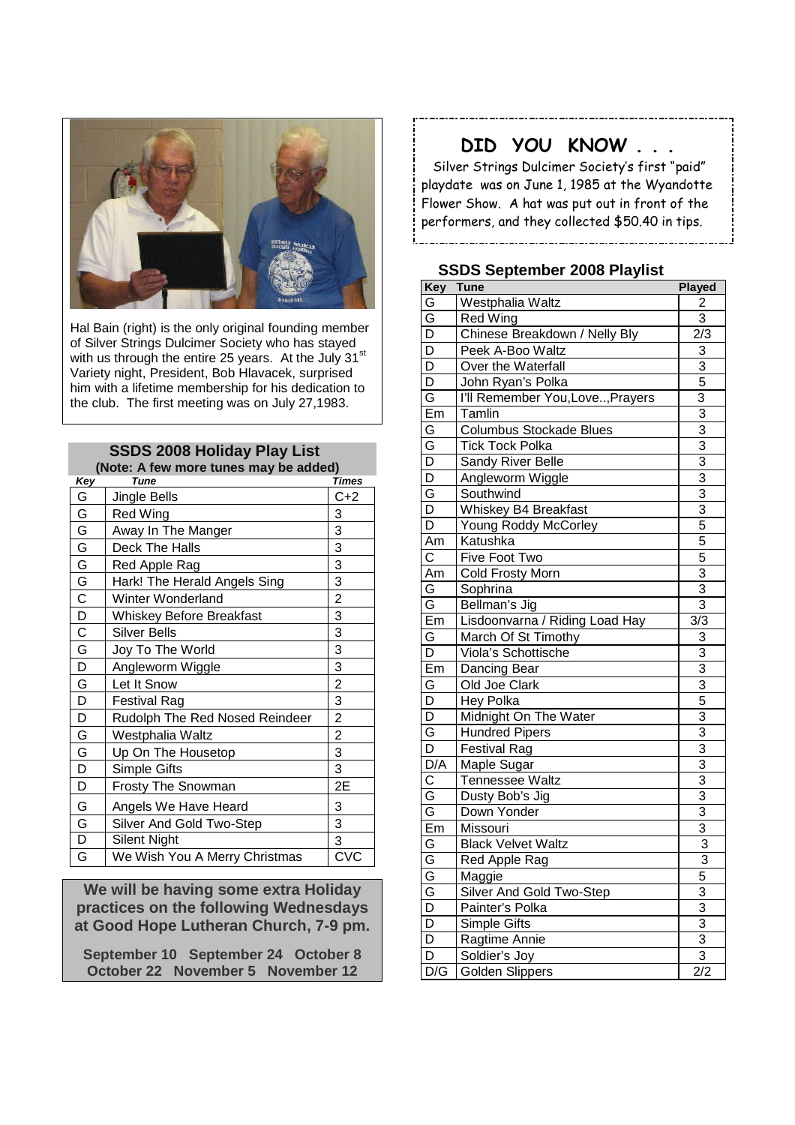

Hal Bain (right) is the only original founding member of Silver Strings Dulcimer Society who has stayed with us through the entire 25 years. At the July 31<sup>st</sup> Variety night, President, Bob Hlavacek, surprised him with a lifetime membership for his dedication to the club. The first meeting was on July 27,1983.

#### **SSDS 2008 Holiday Play List (Note: A few more tunes may be added)**

|                         | $(100.6)$ . A lew filole turned filay be added |                |
|-------------------------|------------------------------------------------|----------------|
| Key                     | <b>Tune</b>                                    | <b>Times</b>   |
| G                       | Jingle Bells                                   | C+2            |
| G                       | <b>Red Wing</b>                                | 3              |
| G                       | Away In The Manger                             | 3              |
| G                       | Deck The Halls                                 | 3              |
| G                       | Red Apple Rag                                  | 3              |
| G                       | Hark! The Herald Angels Sing                   | 3              |
| $\mathsf C$             | Winter Wonderland                              | $\overline{c}$ |
| D                       | <b>Whiskey Before Breakfast</b>                | 3              |
| $\overline{C}$          | <b>Silver Bells</b>                            | 3              |
| ${\mathsf G}$           | Joy To The World                               | 3              |
| D                       | Angleworm Wiggle                               | 3              |
| G                       | Let It Snow                                    | $\overline{c}$ |
| D                       | <b>Festival Rag</b>                            | 3              |
| D                       | Rudolph The Red Nosed Reindeer                 | $\overline{c}$ |
| G                       | Westphalia Waltz                               | $\overline{c}$ |
| G                       | Up On The Housetop                             | 3              |
| D                       | Simple Gifts                                   | 3              |
| D                       | Frosty The Snowman                             | 2E             |
| G                       | Angels We Have Heard                           | 3              |
| G                       | Silver And Gold Two-Step                       | 3              |
| $\overline{\mathsf{D}}$ | Silent Night                                   | 3              |
| G                       | We Wish You A Merry Christmas                  | <b>CVC</b>     |
|                         |                                                |                |

**We will be having some extra Holiday practices on the following Wednesdays at Good Hope Lutheran Church, 7-9 pm.**

**September 10 September 24 October 8 October 22 November 5 November 12**

### **DID YOU KNOW . . .**

Silver Strings Dulcimer Society's first "paid" playdate was on June 1, 1985 at the Wyandotte Flower Show. A hat was put out in front of the performers, and they collected \$50.40 in tips.

#### **SSDS September 2008 Playlist**

| Key                     | <b>Tune</b>                      | <b>Played</b>             |
|-------------------------|----------------------------------|---------------------------|
| G                       | Westphalia Waltz                 | 2                         |
| G                       | <b>Red Wing</b>                  | $\overline{3}$            |
| D                       | Chinese Breakdown / Nelly Bly    | 2/3                       |
| D                       | Peek A-Boo Waltz                 | 3                         |
| D                       | Over the Waterfall               | 3                         |
| D                       | John Ryan's Polka                | 5                         |
| G                       | I'll Remember You, Love, Prayers | 3                         |
| Em                      | Tamlin                           | 3                         |
| G                       | Columbus Stockade Blues          | $\overline{3}$            |
| G                       | <b>Tick Tock Polka</b>           | 3                         |
| $\overline{\mathsf{D}}$ | Sandy River Belle                | 3                         |
| $\overline{D}$          | Angleworm Wiggle                 | 3                         |
| G                       | Southwind                        | $\overline{3}$            |
| D                       | Whiskey B4 Breakfast             | $\overline{3}$            |
| D                       | Young Roddy McCorley             | 5                         |
| Am                      | Katushka                         | 5                         |
| C                       | Five Foot Two                    | $\overline{5}$            |
| Am                      | Cold Frosty Morn                 |                           |
| G                       | Sophrina                         | $\frac{3}{3}$             |
| G                       | Bellman's Jig                    | $\overline{3}$            |
| Em                      | Lisdoonvarna / Riding Load Hay   | 3/3                       |
| G                       | March Of St Timothy              | 3                         |
| D                       | Viola's Schottische              | $\overline{3}$            |
| Em                      | Dancing Bear                     | $\overline{3}$            |
| G                       | Old Joe Clark                    | $\overline{3}$            |
| D                       | Hey Polka                        | 5                         |
| $\overline{D}$          | Midnight On The Water            | $\overline{3}$            |
| G                       | <b>Hundred Pipers</b>            | $\overline{3}$            |
| $\overline{D}$          | <b>Festival Rag</b>              | $\overline{3}$            |
| $\overline{D/A}$        | Maple Sugar                      | $\overline{3}$            |
| $\mathbf C$             | Tennessee Waltz                  | $\overline{3}$            |
| $\overline{G}$          | Dusty Bob's Jig                  | $\overline{3}$            |
| $\overline{G}$          | Down Yonder                      | $\overline{\overline{3}}$ |
| Em                      | Missouri                         | $\overline{3}$            |
| G                       | <b>Black Velvet Waltz</b>        | $\overline{3}$            |
| G                       | Red Apple Rag                    | 3                         |
| G                       | Maggie                           | 5                         |
|                         | Silver And Gold Two-Step         | $\overline{3}$            |
|                         | Painter's Polka                  | $\overline{3}$            |
| $\frac{1}{2}$           | Simple Gifts                     |                           |
|                         | Ragtime Annie                    | $\frac{3}{3}$             |
|                         | Soldier's Joy                    | $\overline{3}$            |
| D/G                     | <b>Golden Slippers</b>           | $\overline{2/2}$          |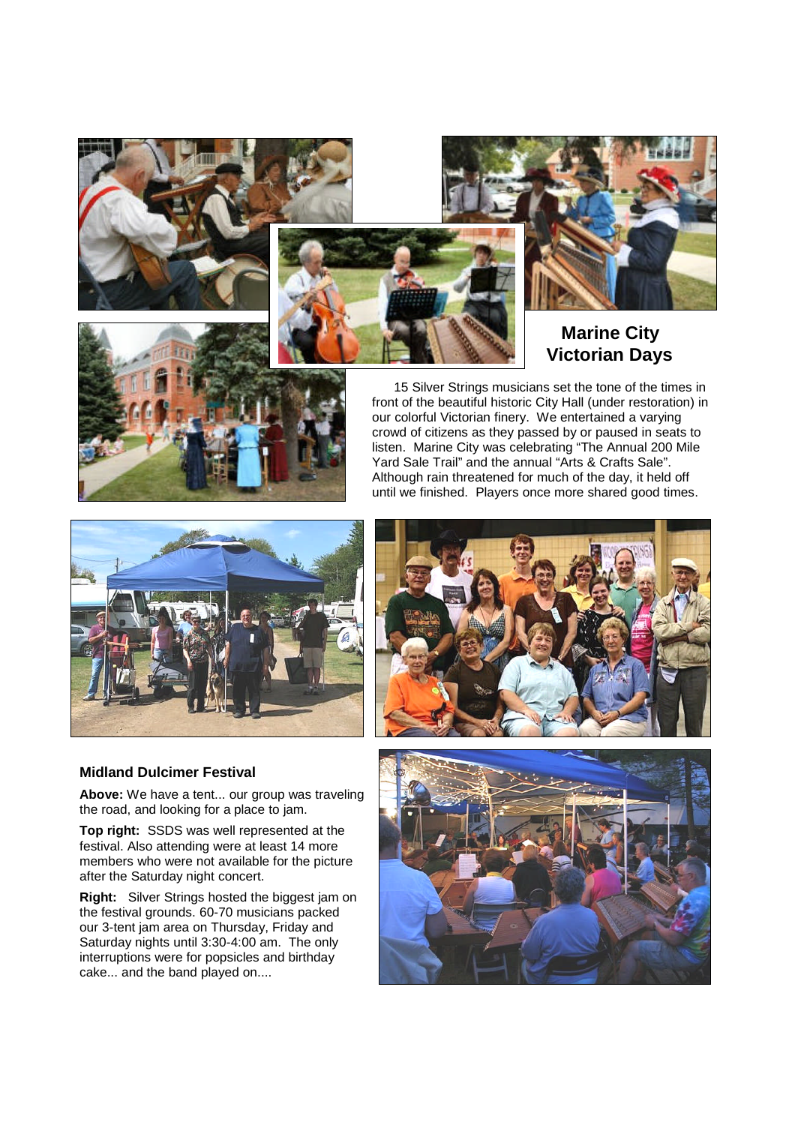





#### **Marine City Victorian Days**



15 Silver Strings musicians set the tone of the times in front of the beautiful historic City Hall (under restoration) in our colorful Victorian finery. We entertained a varying crowd of citizens as they passed by or paused in seats to listen. Marine City was celebrating "The Annual 200 Mile Yard Sale Trail" and the annual "Arts & Crafts Sale". Although rain threatened for much of the day, it held off until we finished. Players once more shared good times.



#### **Midland Dulcimer Festival**

**Above:** We have a tent... our group was traveling the road, and looking for a place to jam.

**Top right:** SSDS was well represented at the festival. Also attending were at least 14 more members who were not available for the picture after the Saturday night concert.

**Right:** Silver Strings hosted the biggest jam on the festival grounds. 60-70 musicians packed our 3-tent jam area on Thursday, Friday and Saturday nights until 3:30-4:00 am. The only interruptions were for popsicles and birthday cake... and the band played on....



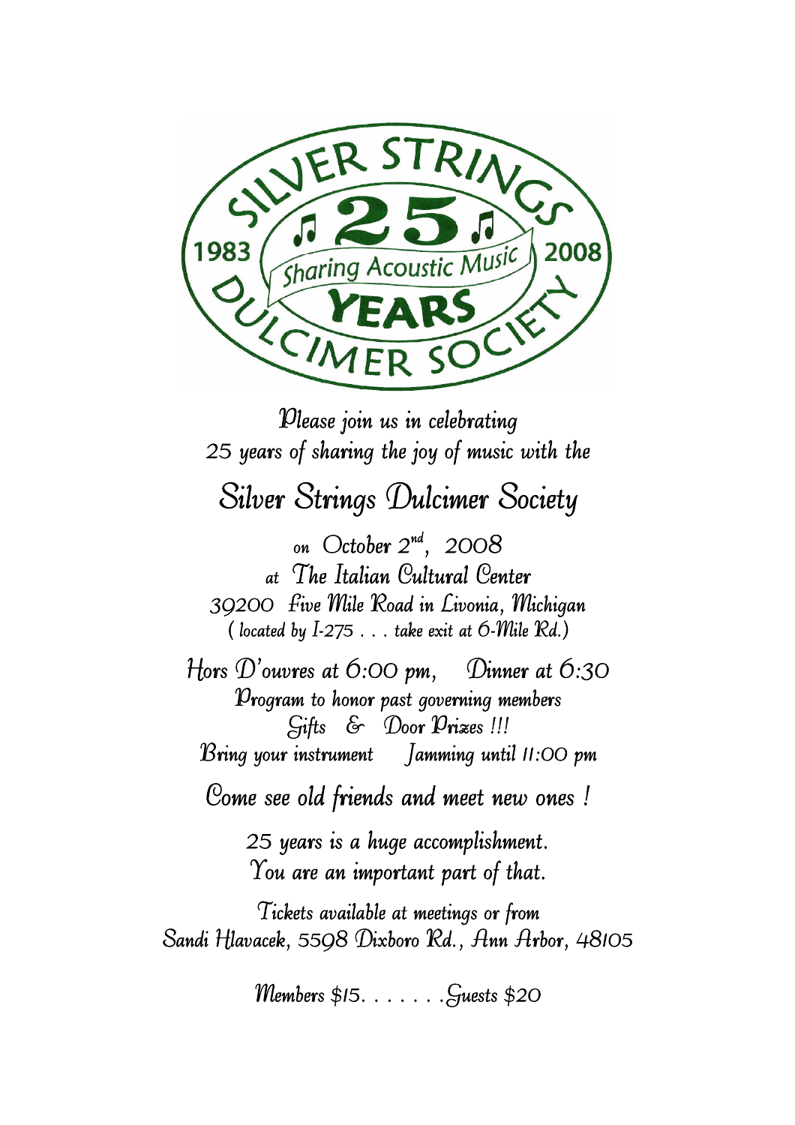

Please join us in celebrating 25 years of sharing the joy of music with the Silver Strings Dulcimer Society on October  $2^{nd}$ , 2008 at The Italian Cultural Center 39200 Five Mile Road in Livonia, Michigan (located by  $I-275...$  take exit at  $6$ -*Mile Rd.*) Hors  $D'$ ouvres at 6:00 pm, Dinner at 6:30 Program to honor past governing members Gifts & Door Prizes !!! Bring your instrument Jamming until 11:00 pm Come see old friends and meet new ones ! 25 years is a huge accomplishment. You are an important part of that. Tickets available at meetings or from Sandi Hlavacek, 5598 Dixboro Rd., Ann Arbor, 48105

Members \$15. . . . . . .Guests \$20